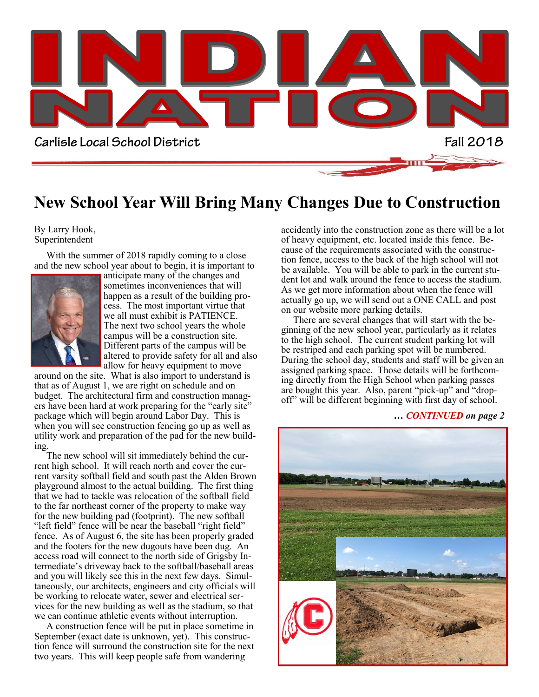

### **New School Year Will Bring Many Changes Due to Construction**

#### By Larry Hook, Superintendent

 With the summer of 2018 rapidly coming to a close and the new school year about to begin, it is important to



anticipate many of the changes and sometimes inconveniences that will happen as a result of the building process. The most important virtue that we all must exhibit is PATIENCE. The next two school years the whole campus will be a construction site. Different parts of the campus will be altered to provide safety for all and also allow for heavy equipment to move

around on the site. What is also import to understand is that as of August 1, we are right on schedule and on budget. The architectural firm and construction managers have been hard at work preparing for the "early site" package which will begin around Labor Day. This is when you will see construction fencing go up as well as utility work and preparation of the pad for the new building.

 The new school will sit immediately behind the current high school. It will reach north and cover the current varsity softball field and south past the Alden Brown playground almost to the actual building. The first thing that we had to tackle was relocation of the softball field to the far northeast corner of the property to make way for the new building pad (footprint). The new softball "left field" fence will be near the baseball "right field" fence. As of August 6, the site has been properly graded and the footers for the new dugouts have been dug. An access road will connect to the north side of Grigsby Intermediate's driveway back to the softball/baseball areas and you will likely see this in the next few days. Simultaneously, our architects, engineers and city officials will be working to relocate water, sewer and electrical services for the new building as well as the stadium, so that we can continue athletic events without interruption.

 A construction fence will be put in place sometime in September (exact date is unknown, yet). This construction fence will surround the construction site for the next two years. This will keep people safe from wandering

accidently into the construction zone as there will be a lot of heavy equipment, etc. located inside this fence. Because of the requirements associated with the construction fence, access to the back of the high school will not be available. You will be able to park in the current student lot and walk around the fence to access the stadium. As we get more information about when the fence will actually go up, we will send out a ONE CALL and post on our website more parking details.

 There are several changes that will start with the beginning of the new school year, particularly as it relates to the high school. The current student parking lot will be restriped and each parking spot will be numbered. During the school day, students and staff will be given an assigned parking space. Those details will be forthcoming directly from the High School when parking passes are bought this year. Also, parent "pick-up" and "dropoff" will be different beginning with first day of school.

#### *… CONTINUED on page 2*

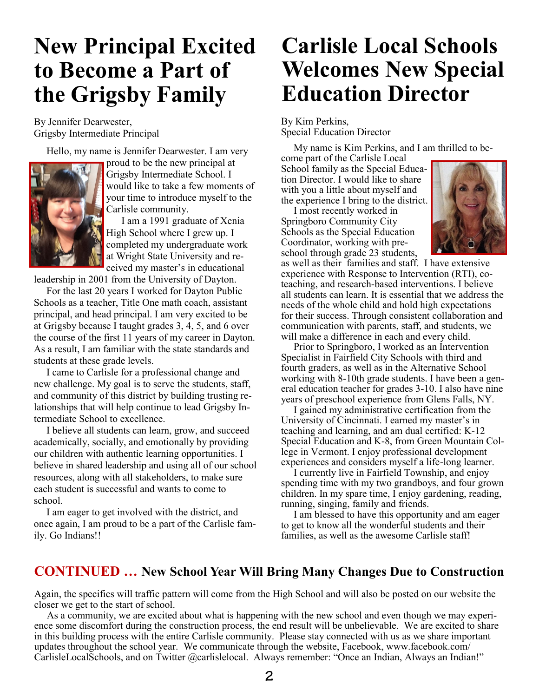## **New Principal Excited to Become a Part of the Grigsby Family**

By Jennifer Dearwester, Grigsby Intermediate Principal

Hello, my name is Jennifer Dearwester. I am very



proud to be the new principal at Grigsby Intermediate School. I would like to take a few moments of your time to introduce myself to the Carlisle community.

 I am a 1991 graduate of Xenia High School where I grew up. I completed my undergraduate work at Wright State University and received my master's in educational

leadership in 2001 from the University of Dayton.

 For the last 20 years I worked for Dayton Public Schools as a teacher, Title One math coach, assistant principal, and head principal. I am very excited to be at Grigsby because I taught grades 3, 4, 5, and 6 over the course of the first 11 years of my career in Dayton. As a result, I am familiar with the state standards and students at these grade levels.

 I came to Carlisle for a professional change and new challenge. My goal is to serve the students, staff, and community of this district by building trusting relationships that will help continue to lead Grigsby Intermediate School to excellence.

 I believe all students can learn, grow, and succeed academically, socially, and emotionally by providing our children with authentic learning opportunities. I believe in shared leadership and using all of our school resources, along with all stakeholders, to make sure each student is successful and wants to come to school.

 I am eager to get involved with the district, and once again, I am proud to be a part of the Carlisle family. Go Indians!!

## **Carlisle Local Schools Welcomes New Special Education Director**

By Kim Perkins, Special Education Director

My name is Kim Perkins, and I am thrilled to be-

come part of the Carlisle Local School family as the Special Education Director. I would like to share with you a little about myself and the experience I bring to the district.

 I most recently worked in Springboro Community City Schools as the Special Education Coordinator, working with preschool through grade 23 students,



as well as their families and staff. I have extensive experience with Response to Intervention (RTI), coteaching, and research-based interventions. I believe all students can learn. It is essential that we address the needs of the whole child and hold high expectations for their success. Through consistent collaboration and communication with parents, staff, and students, we will make a difference in each and every child.

 Prior to Springboro, I worked as an Intervention Specialist in Fairfield City Schools with third and fourth graders, as well as in the Alternative School working with 8-10th grade students. I have been a general education teacher for grades 3-10. I also have nine years of preschool experience from Glens Falls, NY.

 I gained my administrative certification from the University of Cincinnati. I earned my master's in teaching and learning, and am dual certified: K-12 Special Education and K-8, from Green Mountain College in Vermont. I enjoy professional development experiences and considers myself a life-long learner.

 I currently live in Fairfield Township, and enjoy spending time with my two grandboys, and four grown children. In my spare time, I enjoy gardening, reading, running, singing, family and friends.

 I am blessed to have this opportunity and am eager to get to know all the wonderful students and their families, as well as the awesome Carlisle staff!

### **CONTINUED … New School Year Will Bring Many Changes Due to Construction**

Again, the specifics will traffic pattern will come from the High School and will also be posted on our website the closer we get to the start of school.

 As a community, we are excited about what is happening with the new school and even though we may experience some discomfort during the construction process, the end result will be unbelievable. We are excited to share in this building process with the entire Carlisle community. Please stay connected with us as we share important updates throughout the school year. We communicate through the website, Facebook, www.facebook.com/ CarlisleLocalSchools, and on Twitter @carlislelocal. Always remember: "Once an Indian, Always an Indian!"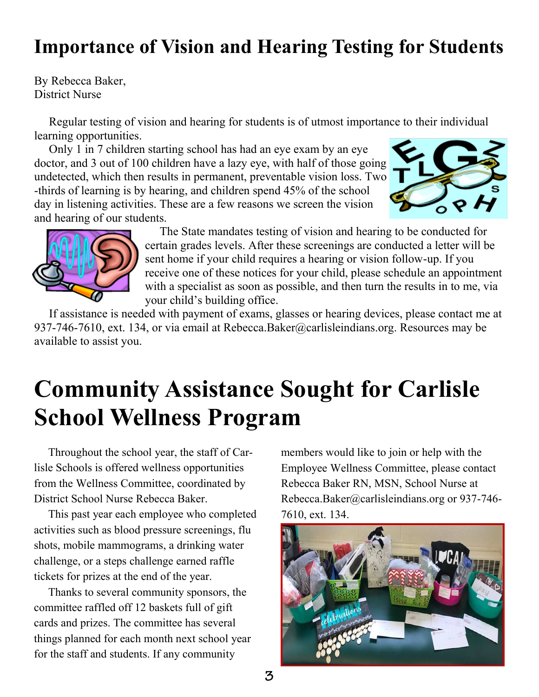## **Importance of Vision and Hearing Testing for Students**

By Rebecca Baker, District Nurse

 Regular testing of vision and hearing for students is of utmost importance to their individual learning opportunities.

 Only 1 in 7 children starting school has had an eye exam by an eye doctor, and 3 out of 100 children have a lazy eye, with half of those going undetected, which then results in permanent, preventable vision loss. Two -thirds of learning is by hearing, and children spend 45% of the school day in listening activities. These are a few reasons we screen the vision and hearing of our students.





 The State mandates testing of vision and hearing to be conducted for certain grades levels. After these screenings are conducted a letter will be sent home if your child requires a hearing or vision follow-up. If you receive one of these notices for your child, please schedule an appointment with a specialist as soon as possible, and then turn the results in to me, via your child's building office.

 If assistance is needed with payment of exams, glasses or hearing devices, please contact me at 937-746-7610, ext. 134, or via email at Rebecca.Baker@carlisleindians.org. Resources may be available to assist you.

## **Community Assistance Sought for Carlisle School Wellness Program**

 Throughout the school year, the staff of Carlisle Schools is offered wellness opportunities from the Wellness Committee, coordinated by District School Nurse Rebecca Baker.

 This past year each employee who completed activities such as blood pressure screenings, flu shots, mobile mammograms, a drinking water challenge, or a steps challenge earned raffle tickets for prizes at the end of the year.

 Thanks to several community sponsors, the committee raffled off 12 baskets full of gift cards and prizes. The committee has several things planned for each month next school year for the staff and students. If any community

members would like to join or help with the Employee Wellness Committee, please contact Rebecca Baker RN, MSN, School Nurse at Rebecca.Baker@carlisleindians.org or 937-746- 7610, ext. 134.

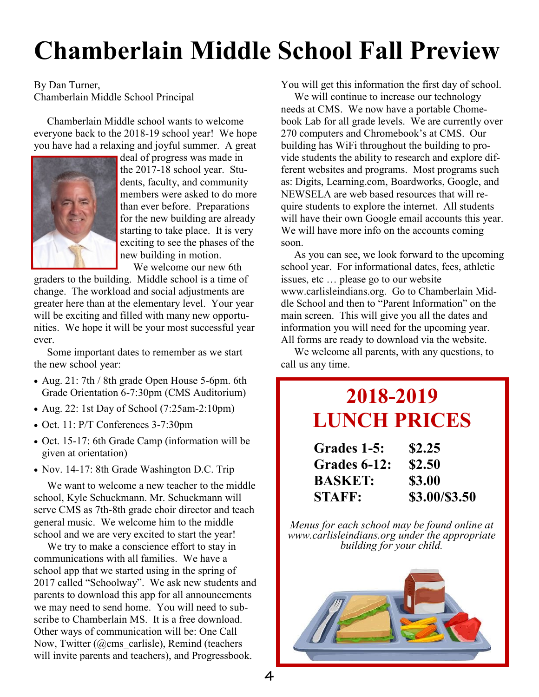# **Chamberlain Middle School Fall Preview**

By Dan Turner, Chamberlain Middle School Principal

 Chamberlain Middle school wants to welcome everyone back to the 2018-19 school year! We hope you have had a relaxing and joyful summer. A great



deal of progress was made in the 2017-18 school year. Students, faculty, and community members were asked to do more than ever before. Preparations for the new building are already starting to take place. It is very exciting to see the phases of the new building in motion.

We welcome our new 6th

graders to the building. Middle school is a time of change. The workload and social adjustments are greater here than at the elementary level. Your year will be exciting and filled with many new opportunities. We hope it will be your most successful year ever.

 Some important dates to remember as we start the new school year:

- Aug. 21: 7th / 8th grade Open House 5-6pm. 6th Grade Orientation 6-7:30pm (CMS Auditorium)
- Aug. 22: 1st Day of School  $(7:25am-2:10pm)$
- Oct. 11: P/T Conferences 3-7:30pm
- Oct. 15-17: 6th Grade Camp (information will be given at orientation)
- Nov. 14-17: 8th Grade Washington D.C. Trip

 We want to welcome a new teacher to the middle school, Kyle Schuckmann. Mr. Schuckmann will serve CMS as 7th-8th grade choir director and teach general music. We welcome him to the middle school and we are very excited to start the year!

 We try to make a conscience effort to stay in communications with all families. We have a school app that we started using in the spring of 2017 called "Schoolway". We ask new students and parents to download this app for all announcements we may need to send home. You will need to subscribe to Chamberlain MS. It is a free download. Other ways of communication will be: One Call Now, Twitter (@cms\_carlisle), Remind (teachers will invite parents and teachers), and Progressbook.

You will get this information the first day of school.

 We will continue to increase our technology needs at CMS. We now have a portable Chomebook Lab for all grade levels. We are currently over 270 computers and Chromebook's at CMS. Our building has WiFi throughout the building to provide students the ability to research and explore different websites and programs. Most programs such as: Digits, Learning.com, Boardworks, Google, and NEWSELA are web based resources that will require students to explore the internet. All students will have their own Google email accounts this year. We will have more info on the accounts coming soon.

 As you can see, we look forward to the upcoming school year. For informational dates, fees, athletic issues, etc … please go to our website www.carlisleindians.org. Go to Chamberlain Middle School and then to "Parent Information" on the main screen. This will give you all the dates and information you will need for the upcoming year. All forms are ready to download via the website.

 We welcome all parents, with any questions, to call us any time.

## **2018-2019 LUNCH PRICES**

| Grades 1-5:    | \$2.25        |
|----------------|---------------|
| Grades 6-12:   | \$2.50        |
| <b>BASKET:</b> | \$3.00        |
| <b>STAFF:</b>  | \$3.00/\$3.50 |

*Menus for each school may be found online at www.carlisleindians.org under the appropriate building for your child.*

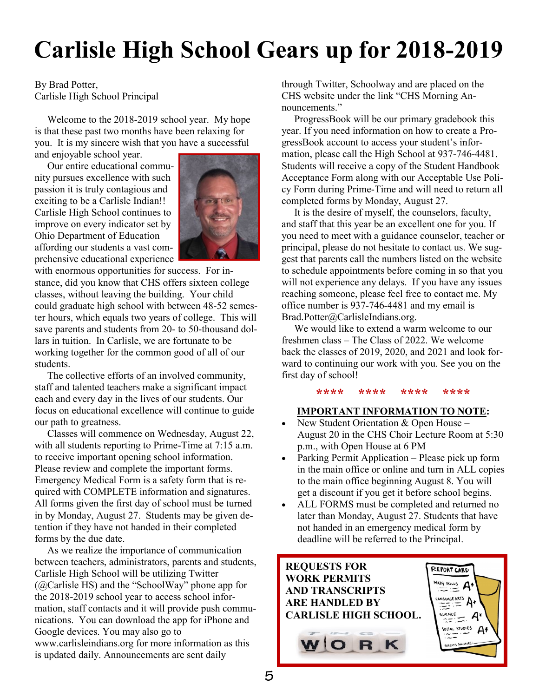# **Carlisle High School Gears up for 2018-2019**

By Brad Potter, Carlisle High School Principal

 Welcome to the 2018-2019 school year. My hope is that these past two months have been relaxing for you. It is my sincere wish that you have a successful and enjoyable school year.

 Our entire educational community pursues excellence with such passion it is truly contagious and exciting to be a Carlisle Indian!! Carlisle High School continues to improve on every indicator set by Ohio Department of Education affording our students a vast comprehensive educational experience



with enormous opportunities for success. For instance, did you know that CHS offers sixteen college classes, without leaving the building. Your child could graduate high school with between 48-52 semester hours, which equals two years of college. This will save parents and students from 20- to 50-thousand dollars in tuition. In Carlisle, we are fortunate to be working together for the common good of all of our students.

 The collective efforts of an involved community, staff and talented teachers make a significant impact each and every day in the lives of our students. Our focus on educational excellence will continue to guide our path to greatness.

 Classes will commence on Wednesday, August 22, with all students reporting to Prime-Time at 7:15 a.m. to receive important opening school information. Please review and complete the important forms. Emergency Medical Form is a safety form that is required with COMPLETE information and signatures. All forms given the first day of school must be turned in by Monday, August 27. Students may be given detention if they have not handed in their completed forms by the due date.

 As we realize the importance of communication between teachers, administrators, parents and students, Carlisle High School will be utilizing Twitter  $(Q)$ Carlisle HS) and the "SchoolWay" phone app for the 2018-2019 school year to access school information, staff contacts and it will provide push communications. You can download the app for iPhone and Google devices. You may also go to www.carlisleindians.org for more information as this is updated daily. Announcements are sent daily

through Twitter, Schoolway and are placed on the CHS website under the link "CHS Morning Announcements."

 ProgressBook will be our primary gradebook this year. If you need information on how to create a ProgressBook account to access your student's information, please call the High School at 937-746-4481. Students will receive a copy of the Student Handbook Acceptance Form along with our Acceptable Use Policy Form during Prime-Time and will need to return all completed forms by Monday, August 27.

 It is the desire of myself, the counselors, faculty, and staff that this year be an excellent one for you. If you need to meet with a guidance counselor, teacher or principal, please do not hesitate to contact us. We suggest that parents call the numbers listed on the website to schedule appointments before coming in so that you will not experience any delays. If you have any issues reaching someone, please feel free to contact me. My office number is 937-746-4481 and my email is Brad.Potter@CarlisleIndians.org.

 We would like to extend a warm welcome to our freshmen class – The Class of 2022. We welcome back the classes of 2019, 2020, and 2021 and look forward to continuing our work with you. See you on the first day of school!

**\*\*\*\* \*\*\*\* \*\*\*\* \*\*\*\***

### **IMPORTANT INFORMATION TO NOTE:**

- New Student Orientation  $&$  Open House August 20 in the CHS Choir Lecture Room at 5:30 p.m., with Open House at 6 PM
- Parking Permit Application Please pick up form in the main office or online and turn in ALL copies to the main office beginning August 8. You will get a discount if you get it before school begins.
- ALL FORMS must be completed and returned no later than Monday, August 27. Students that have not handed in an emergency medical form by deadline will be referred to the Principal.